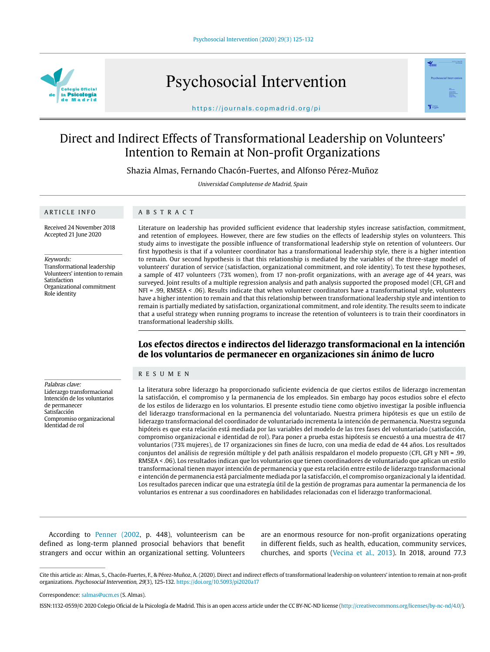

Psychosocial Intervention



https://journals.copmadrid.org/pi

# Direct and Indirect Effects of Transformational Leadership on Volunteers' Intention to Remain at Non-profit Organizations

Shazia Almas, Fernando Chacón-Fuertes, and Alfonso Pérez-Muñoz

Universidad Complutense de Madrid, Spain

#### ARTICLE INFO

## ABSTRACT

Received 24 November 2018 Accepted 21 June 2020

Keywords: Transformational leadership

Volunteers' intention to remain Satisfaction Organizational commitment Role identity

Literature on leadership has provided sufficient evidence that leadership styles increase satisfaction, commitment, and retention of employees. However, there are few studies on the effects of leadership styles on volunteers. This study aims to investigate the possible influence of transformational leadership style on retention of volunteers. Our first hypothesis is that if a volunteer coordinator has a transformational leadership style, there is a higher intention to remain. Our second hypothesis is that this relationship is mediated by the variables of the three-stage model of volunteers' duration of service (satisfaction, organizational commitment, and role identity). To test these hypotheses, a sample of 417 volunteers (73% women), from 17 non-profit organizations, with an average age of 44 years, was surveyed. Joint results of a multiple regression analysis and path analysis supported the proposed model (CFI, GFI and NFI = .99, RMSEA < .06). Results indicate that when volunteer coordinators have a transformational style, volunteers have a higher intention to remain and that this relationship between transformational leadership style and intention to remain is partially mediated by satisfaction, organizational commitment, and role identity. The results seem to indicate that a useful strategy when running programs to increase the retention of volunteers is to train their coordinators in transformational leadership skills.

# **Los efectos directos e indirectos del liderazgo transformacional en la intención de los voluntarios de permanecer en organizaciones sin ánimo de lucro**

## RESUMEN

Palabras clave: Liderazgo transformacional Intención de los voluntarios de permanecer Satisfacción Compromiso organizacional Identidad de rol

La literatura sobre liderazgo ha proporcionado suficiente evidencia de que ciertos estilos de liderazgo incrementan la satisfacción, el compromiso y la permanencia de los empleados. Sin embargo hay pocos estudios sobre el efecto de los estilos de liderazgo en los voluntarios. El presente estudio tiene como objetivo investigar la posible influencia del liderazgo transformacional en la permanencia del voluntariado. Nuestra primera hipótesis es que un estilo de liderazgo transformacional del coordinador de voluntariado incrementa la intención de permanencia. Nuestra segunda hipóteis es que esta relación está mediada por las variables del modelo de las tres fases del voluntariado (satisfacción, compromiso organizacional e identidad de rol). Para poner a prueba estas hipótesis se encuestó a una muestra de 417 voluntarios (73% mujeres), de 17 organizaciones sin fines de lucro, con una media de edad de 44 años. Los resultados conjuntos del análisis de regresión múltiple y del path análisis respaldaron el modelo propuesto (CFI, GFI y NFI = .99, RMSEA < .06). Los resultados indican que los voluntarios que tienen coordinadores de voluntariado que aplican un estilo transformacional tienen mayor intención de permanencia y que esta relación entre estilo de liderazgo transformacional e intención de permanencia está parcialmente mediada por la satisfacción, el compromiso organizacional y la identidad. Los resultados parecen indicar que una estrategía útil de la gestión de programas para aumentar la permanencia de los voluntarios es entrenar a sus coordinadores en habilidades relacionadas con el liderazgo tranformacional.

According to Penner (2002, p. 448), volunteerism can be defined as long-term planned prosocial behaviors that benefit strangers and occur within an organizational setting. Volunteers

are an enormous resource for non-profit organizations operating in different fields, such as health, education, community services, churches, and sports (Vecina et al., 2013). In 2018, around 77.3

Cite this article as: Almas, S., Chacón-Fuertes, F., & Pérez-Muñoz, A. (2020). Direct and indirect effects of transformational leadership on volunteers' intention to remain at non-profit organizations. Psychosocial Intervention, 29(3), 125-132. https://doi.org/10.5093/pi2020a17

Correspondence: salmas@ucm.es (S. Almas).

ISSN:1132-0559/© 2020 Colegio Oficial de la Psicología de Madrid. This is an open access article under the CC BY-NC-ND license (http://creativecommons.org/licenses/by-nc-nd/4.0/).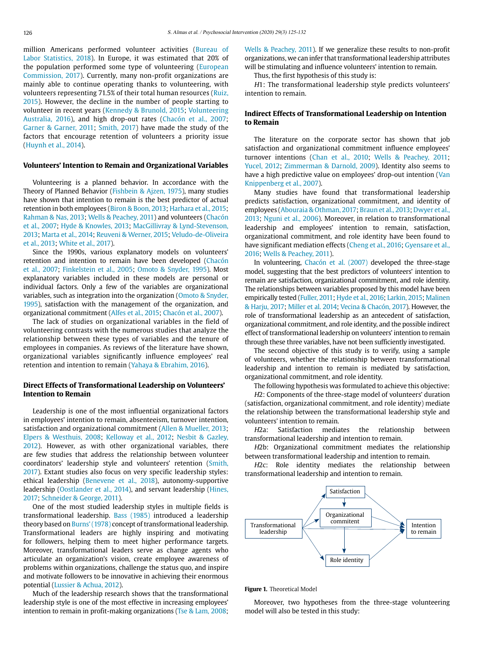million Americans performed volunteer activities (Bureau of Labor Statistics, 2018). In Europe, it was estimated that 20% of the population performed some type of volunteering (European Commission, 2017). Currently, many non-profit organizations are mainly able to continue operating thanks to volunteering, with volunteers representing 71.5% of their total human resources (Ruiz, 2015). However, the decline in the number of people starting to volunteer in recent years (Kennedy & Brunold, 2015; Volunteering Australia, 2016), and high drop-out rates (Chacón et al., 2007; Garner & Garner, 2011; Smith, 2017) have made the study of the factors that encourage retention of volunteers a priority issue (Huynh et al., 2014).

## **Volunteers' Intention to Remain and Organizational Variables**

Volunteering is a planned behavior. In accordance with the Theory of Planned Behavior (Fishbein & Ajzen, 1975), many studies have shown that intention to remain is the best predictor of actual retention in both employees (Biron & Boon, 2013; Harhara et al., 2015; Rahman & Nas, 2013; Wells & Peachey, 2011) and volunteers (Chacón et al., 2007; Hyde & Knowles, 2013; MacGillivray & Lynd-Stevenson, 2013; Marta et al., 2014; Reuveni & Werner, 2015; Veludo-de-Oliveira et al., 2013; White et al., 2017).

Since the 1990s, various explanatory models on volunteers' retention and intention to remain have been developed (Chacón et al., 2007; Finkelstein et al., 2005; Omoto & Snyder, 1995). Most explanatory variables included in these models are personal or individual factors. Only a few of the variables are organizational variables, such as integration into the organization (Omoto & Snyder, 1995), satisfaction with the management of the organization, and organizational commitment (Alfes et al., 2015; Chacón et al., 2007).

The lack of studies on organizational variables in the field of volunteering contrasts with the numerous studies that analyze the relationship between these types of variables and the tenure of employees in companies. As reviews of the literature have shown, organizational variables significantly influence employees' real retention and intention to remain (Yahaya & Ebrahim, 2016).

## **Direct Effects of Transformational Leadership on Volunteers' Intention to Remain**

Leadership is one of the most influential organizational factors in employees' intention to remain, absenteeism, turnover intention, satisfaction and organizational commitment (Allen & Mueller, 2013; Elpers & Westhuis, 2008; Kelloway et al., 2012; Nesbit & Gazley, 2012). However, as with other organizational variables, there are few studies that address the relationship between volunteer coordinators' leadership style and volunteers' retention (Smith, 2017). Extant studies also focus on very specific leadership styles: ethical leadership (Benevene et al., 2018), autonomy-supportive leadership (Oostlander et al., 2014), and servant leadership (Hines, 2017; Schneider & George, 2011).

One of the most studied leadership styles in multiple fields is transformational leadership. Bass (1985) introduced a leadership theory based on Burns' (1978) concept of transformational leadership. Transformational leaders are highly inspiring and motivating for followers, helping them to meet higher performance targets. Moreover, transformational leaders serve as change agents who articulate an organization's vision, create employee awareness of problems within organizations, challenge the status quo, and inspire and motivate followers to be innovative in achieving their enormous potential (Lussier & Achua, 2012).

Much of the leadership research shows that the transformational leadership style is one of the most effective in increasing employees' intention to remain in profit-making organizations (Tse & Lam, 2008; Wells & Peachey, 2011). If we generalize these results to non-profit organizations, we can infer that transformational leadership attributes will be stimulating and influence volunteers' intention to remain.

Thus, the first hypothesis of this study is:

H1: The transformational leadership style predicts volunteers' intention to remain.

## **Indirect Effects of Transformational Leadership on Intention to Remain**

The literature on the corporate sector has shown that job satisfaction and organizational commitment influence employees' turnover intentions (Chan et al., 2010; Wells & Peachey, 2011; Yucel, 2012; Zimmerman & Darnold, 2009). Identity also seems to have a high predictive value on employees' drop-out intention (Van Knippenberg et al., 2007).

Many studies have found that transformational leadership predicts satisfaction, organizational commitment, and identity of employees (Abouraia & Othman, 2017; Braun et al., 2013; Dwyer et al., 2013; Nguni et al., 2006). Moreover, in relation to transformational leadership and employees' intention to remain, satisfaction, organizational commitment, and role identity have been found to have significant mediation effects (Cheng et al., 2016; Gyensare et al., 2016; Wells & Peachey, 2011).

In volunteering, Chacón et al. (2007) developed the three-stage model, suggesting that the best predictors of volunteers' intention to remain are satisfaction, organizational commitment, and role identity. The relationships between variables proposed by this model have been empirically tested (Fuller, 2011; Hyde et al., 2016; Larkin, 2015; Malinen & Harju, 2017; Miller et al. 2014; Vecina & Chacón, 2017). However, the role of transformational leadership as an antecedent of satisfaction, organizational commitment, and role identity, and the possible indirect effect of transformational leadership on volunteers' intention to remain through these three variables, have not been sufficiently investigated.

The second objective of this study is to verify, using a sample of volunteers, whether the relationship between transformational leadership and intention to remain is mediated by satisfaction, organizational commitment, and role identity.

The following hypothesis was formulated to achieve this objective:

H2: Components of the three-stage model of volunteers' duration (satisfaction, organizational commitment, and role identity) mediate the relationship between the transformational leadership style and volunteers' intention to remain.

H2a: Satisfaction mediates the relationship between transformational leadership and intention to remain.

H2b: Organizational commitment mediates the relationship between transformational leadership and intention to remain.

H2c: Role identity mediates the relationship between transformational leadership and intention to remain.



**Figure 1.** Theoretical Model

Moreover, two hypotheses from the three-stage volunteering model will also be tested in this study: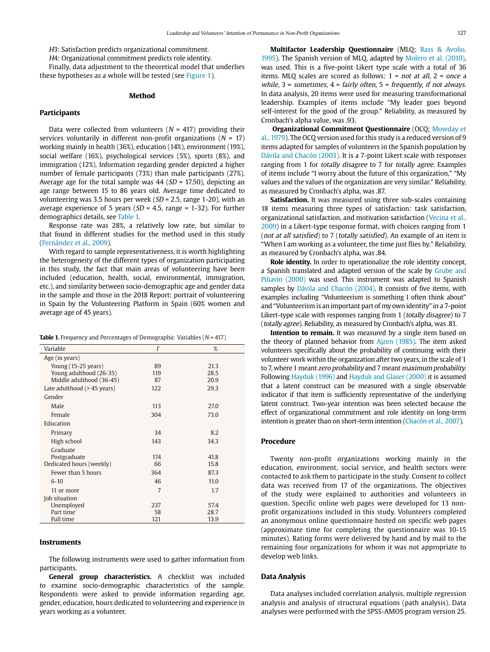H3: Satisfaction predicts organizational commitment.

H4: Organizational commitment predicts role identity.

Finally, data adjustment to the theoretical model that underlies these hypotheses as a whole will be tested (see Figure 1).

#### **Method**

#### **Participants**

Data were collected from volunteers ( $N = 417$ ) providing their services voluntarily in different non-profit organizations ( $N = 17$ ) working mainly in health (36%), education (14%), environment (19%), social welfare (16%), psychological services (5%), sports (8%), and immigration (12%). Information regarding gender depicted a higher number of female participants (73%) than male participants (27%). Average age for the total sample was  $44$  ( $SD = 17.50$ ), depicting an age range between 15 to 86 years old. Average time dedicated to volunteering was 3.5 hours per week ( $SD = 2.5$ , range 1-20), with an average experience of 5 years ( $SD = 4.5$ , range = 1-32). For further demographics details, see Table 1.

Response rate was 28%, a relatively low rate, but similar to that found in different studies for the method used in this study (Fernández et al., 2009).

With regard to sample representativeness, it is worth highlighting the heterogeneity of the different types of organization participating in this study, the fact that main areas of volunteering have been included (education, health, social, environmental, immigration, etc.), and similarity between socio-demographic age and gender data in the sample and those in the 2018 Report: portrait of volunteering in Spain by the Volunteering Platform in Spain (60% women and average age of 45 years).

|  |  | <b>Table 1.</b> Frequency and Percentages of Demographic Variables ( $N = 417$ ) |  |  |  |  |  |
|--|--|----------------------------------------------------------------------------------|--|--|--|--|--|
|--|--|----------------------------------------------------------------------------------|--|--|--|--|--|

| Variable                       | f   | %    |
|--------------------------------|-----|------|
| Age (in years)                 |     |      |
| Young (15-25 years)            | 89  | 21.3 |
| Young adulthood (26-35)        | 119 | 28.5 |
| Middle adulthood (36-45)       | 87  | 20.9 |
| Late adulthood $($ > 45 years) | 122 | 29.3 |
| Gender                         |     |      |
| Male                           | 113 | 27.0 |
| Female                         | 304 | 73.0 |
| Education                      |     |      |
| Primary                        | 34  | 8.2  |
| High school                    | 143 | 34.3 |
| Graduate                       |     |      |
| Postgraduate                   | 174 | 41.8 |
| Dedicated hours (weekly)       | 66  | 15.8 |
| Fewer than 5 hours             | 364 | 87.3 |
| $6 - 10$                       | 46  | 11.0 |
| 11 or more                     | 7   | 1.7  |
| Job situation                  |     |      |
| Unemployed                     | 237 | 57.4 |
| Part time                      | 58  | 28.7 |
| <b>Full time</b>               | 121 | 13.9 |

## **Instruments**

The following instruments were used to gather information from participants.

**General group characteristics.** A checklist was included to examine socio-demographic characteristics of the sample. Respondents were asked to provide information regarding age, gender, education, hours dedicated to volunteering and experience in years working as a volunteer.

**Multifactor Leadership Questionnaire** (MLQ; Bass & Avolio, 1995). The Spanish version of MLQ, adapted by Molero et al. (2010), was used. This is a five-point Likert type scale with a total of 36 items. MLO scales are scored as follows:  $1 = not at all$ ,  $2 = once a$ while,  $3 =$  sometimes,  $4 =$  fairly often,  $5 =$  frequently, if not always. In data analysis, 20 items were used for measuring transformational leadership. Examples of items include "My leader goes beyond self-interest for the good of the group." Reliability, as measured by Cronbach's alpha value, was .93.

**Organizational Commitment Questionnaire** (OCQ; Mowday et al., 1979). The OCQ version used for this study is a reduced version of 9 items adapted for samples of volunteers in the Spanish population by Dávila and Chacón (2003). It is a 7-point Likert scale with responses ranging from 1 for totally disagree to 7 for totally agree. Examples of items include "I worry about the future of this organization," "My values and the values of the organization are very similar." Reliability, as measured by Cronbach's alpha, was .87.

**Satisfaction.** It was measured using three sub-scales containing 18 items measuring three types of satisfaction: task satisfaction, organizational satisfaction, and motivation satisfaction (Vecina et al., 2009) in a Likert-type response format, with choices ranging from 1 (not at all satisfied) to 7 (totally satisfied). An example of an item is "When I am working as a volunteer, the time just flies by." Reliability, as measured by Cronbach's alpha, was .84.

**Role identity.** In order to operationalize the role identity concept, a Spanish translated and adapted version of the scale by Grube and Piliavin (2000) was used. This instrument was adapted to Spanish samples by Dávila and Chacón (2004). It consists of five items, with examples including "Volunteerism is something I often think about" and "Volunteerism is an important part of my own identity" in a 7-point Likert-type scale with responses ranging from 1 (totally disagree) to 7 (totally agree). Reliability, as measured by Cronbach's alpha, was .81.

**Intention to remain.** It was measured by a single item based on the theory of planned behavior from Ajzen (1985). The item asked volunteers specifically about the probability of continuing with their volunteer work within the organization after two years, in the scale of 1 to 7, where 1 meant zero probability and 7 meant maximum probability. Following Hayduk (1996) and Hayduk and Glaser (2000) it is assumed that a latent construct can be measured with a single observable indicator if that item is sufficiently representative of the underlying latent construct. Two-year intention was been selected because the effect of organizational commitment and role identity on long-term intention is greater than on short-term intention (Chacón et al., 2007).

## **Procedure**

Twenty non-profit organizations working mainly in the education, environment, social service, and health sectors were contacted to ask them to participate in the study. Consent to collect data was received from 17 of the organizations. The objectives of the study were explained to authorities and volunteers in question. Specific online web pages were developed for 13 nonprofit organizations included in this study. Volunteers completed an anonymous online questionnaire hosted on specific web pages (approximate time for completing the questionnaire was 10-15 minutes). Rating forms were delivered by hand and by mail to the remaining four organizations for whom it was not appropriate to develop web links.

## **Data Analysis**

Data analyses included correlation analysis, multiple regression analysis and analysis of structural equations (path analysis). Data analyses were performed with the SPSS-AMOS program version 25.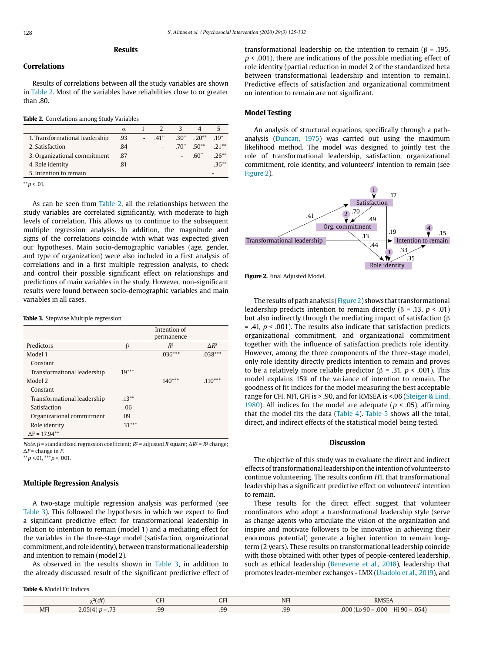## **Results**

## **Correlations**

Results of correlations between all the study variables are shown in Table 2. Most of the variables have reliabilities close to or greater than .80.

|  | Table 2. Correlations among Study Variables |
|--|---------------------------------------------|
|--|---------------------------------------------|

|                                | $\alpha$ |        | 3 |                       |        |
|--------------------------------|----------|--------|---|-----------------------|--------|
| 1. Transformational leadership | .93      | $-41"$ |   | $.30^{**}$ $.20^{**}$ | $19*$  |
| 2. Satisfaction                | .84      |        |   | $.70^{**}$ $.50^{**}$ | $21**$ |
| 3. Organizational commitment   | .87      |        |   | -60"                  | $26**$ |
| 4. Role identity               | .81      |        |   |                       | $36**$ |
| 5. Intention to remain         |          |        |   |                       |        |

 $*$  $p$  < .01.

As can be seen from Table 2, all the relationships between the study variables are correlated significantly, with moderate to high levels of correlation. This allows us to continue to the subsequent multiple regression analysis. In addition, the magnitude and signs of the correlations coincide with what was expected given our hypotheses. Main socio-demographic variables (age, gender, and type of organization) were also included in a first analysis of correlations and in a first multiple regression analysis, to check and control their possible significant effect on relationships and predictions of main variables in the study. However, non-significant results were found between socio-demographic variables and main variables in all cases.

#### **Table 3.** Stepwise Multiple regression

|                             |          | Intention of<br>permanence |                 |
|-----------------------------|----------|----------------------------|-----------------|
| Predictors                  | $\beta$  | $R^2$                      | $\triangle R^2$ |
| Model 1                     |          | $.036***$                  | $.038***$       |
| Constant                    |          |                            |                 |
| Transformational leadership | $19***$  |                            |                 |
| Model 2                     |          | $140***$                   | $.110***$       |
| Constant                    |          |                            |                 |
| Transformational leadership | $.13***$ |                            |                 |
| Satisfaction                | $-.06$   |                            |                 |
| Organizational commitment   | .09      |                            |                 |
| Role identity               | $.31***$ |                            |                 |
| $\Delta F = 17.94***$       |          |                            |                 |

Note. β = standardized regression coefficient;  $R^2$  = adjusted R square;  $\Delta R^2$  =  $R^2$  change;  $\Delta F$  = change in  $F$ .  $*$ \* $p$  <.01,  $*$  $*$  $p$  <.001.

## **Multiple Regression Analysis**

A two-stage multiple regression analysis was performed (see Table 3). This followed the hypotheses in which we expect to find a significant predictive effect for transformational leadership in relation to intention to remain (model 1) and a mediating effect for the variables in the three-stage model (satisfaction, organizational commitment, and role identity), between transformational leadership and intention to remain (model 2).

As observed in the results shown in Table 3, in addition to the already discussed result of the significant predictive effect of

**Table 4.** Model Fit Indices

|     | $\sim$<br>$\mathbf{1}$<br>di | $-$<br>ີ | ~-<br>GFI | <b>NFI</b> | <b>RMSE</b>                                                       |
|-----|------------------------------|----------|-----------|------------|-------------------------------------------------------------------|
| MFI | $\sim$<br>$\sim$             | .99      | .99       | QC<br>.JJ  | $\frac{1}{11}$ 90 =<br>.054<br>በበበ<br>$000 -$<br>$-90 =$<br>$  -$ |

transformational leadership on the intention to remain (β = .195,  $p < .001$ ), there are indications of the possible mediating effect of role identity (partial reduction in model 2 of the standardized beta between transformational leadership and intention to remain). Predictive effects of satisfaction and organizational commitment on intention to remain are not significant.

#### **Model Testing**

An analysis of structural equations, specifically through a pathanalysis (Duncan, 1975) was carried out using the maximum likelihood method. The model was designed to jointly test the role of transformational leadership, satisfaction, organizational commitment, role identity, and volunteers' intention to remain (see Figure 2).



**Figure 2.** Final Adjusted Model.

The results of path analysis (Figure 2) shows that transformational leadership predicts intention to remain directly ( $β = .13, p < .01$ ) but also indirectly through the mediating impact of satisfaction ( $β$ = .41,  $p$  < .001). The results also indicate that satisfaction predicts organizational commitment, and organizational commitment together with the influence of satisfaction predicts role identity. However, among the three components of the three-stage model, only role identity directly predicts intention to remain and proves to be a relatively more reliable predictor ( $β = .31, p < .001$ ). This model explains 15% of the variance of intention to remain. The goodness of fit indices for the model measuring the best acceptable range for CFI, NFI, GFI is > .90, and for RMSEA is <.06 (Steiger & Lind, 1980). All indices for the model are adequate ( $p < .05$ ), affirming that the model fits the data (Table 4). Table 5 shows all the total, direct, and indirect effects of the statistical model being tested.

## **Discussion**

The objective of this study was to evaluate the direct and indirect effects of transformational leadership on the intention of volunteers to continue volunteering. The results confirm H1, that transformational leadership has a significant predictive effect on volunteers' intention to remain.

These results for the direct effect suggest that volunteer coordinators who adopt a transformational leadership style (serve as change agents who articulate the vision of the organization and inspire and motivate followers to be innovative in achieving their enormous potential) generate a higher intention to remain longterm (2 years). These results on transformational leadership coincide with those obtained with other types of people-centered leadership, such as ethical leadership (Benevene et al., 2018), leadership that promotes leader-member exchanges - LMX (Usadolo et al., 2019), and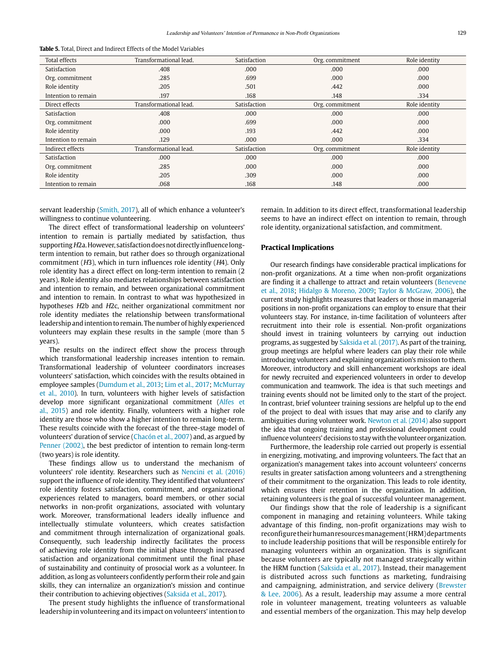| <b>Table 5.</b> Total. Direct and Indirect Effects of the Model Variables |
|---------------------------------------------------------------------------|
|---------------------------------------------------------------------------|

| Total effects       | Transformational lead. | Satisfaction | Org. commitment | Role identity |
|---------------------|------------------------|--------------|-----------------|---------------|
| Satisfaction        | .408                   | .000         | .000            | .000          |
| Org. commitment     | .285                   | .699         | .000            | .000          |
| Role identity       | .205                   | .501         | .442            | .000          |
| Intention to remain | .197                   | .168         | .148            | .334          |
| Direct effects      | Transformational lead. | Satisfaction | Org. commitment | Role identity |
| Satisfaction        | .408                   | .000         | .000            | .000          |
| Org. commitment     | .000                   | .699         | .000            | .000          |
| Role identity       | .000                   | .193         | .442            | .000          |
| Intention to remain | .129                   | .000         | .000            | .334          |
| Indirect effects    | Transformational lead. | Satisfaction | Org. commitment | Role identity |
| Satisfaction        | .000                   | .000         | .000            | .000          |
| Org. commitment     | .285                   | .000         | .000            | .000          |
| Role identity       | .205                   | .309         | .000            | .000          |
| Intention to remain | .068                   | .168         | .148            | .000          |

servant leadership (Smith, 2017), all of which enhance a volunteer's willingness to continue volunteering.

The direct effect of transformational leadership on volunteers' intention to remain is partially mediated by satisfaction, thus supporting H2a. However, satisfaction does not directly influence longterm intention to remain, but rather does so through organizational commitment (H3), which in turn influences role identity (H4). Only role identity has a direct effect on long-term intention to remain (2 years). Role identity also mediates relationships between satisfaction and intention to remain, and between organizational commitment and intention to remain. In contrast to what was hypothesized in hypotheses H2b and H2c, neither organizational commitment nor role identity mediates the relationship between transformational leadership and intention to remain. The number of highly experienced volunteers may explain these results in the sample (more than 5 years).

The results on the indirect effect show the process through which transformational leadership increases intention to remain. Transformational leadership of volunteer coordinators increases volunteers' satisfaction, which coincides with the results obtained in employee samples (Dumdum et al., 2013; Lim et al., 2017; McMurray et al., 2010). In turn, volunteers with higher levels of satisfaction develop more significant organizational commitment (Alfes et al., 2015) and role identity. Finally, volunteers with a higher role identity are those who show a higher intention to remain long-term. These results coincide with the forecast of the three-stage model of volunteers' duration of service (Chacón et al., 2007) and, as argued by Penner (2002), the best predictor of intention to remain long-term (two years) is role identity.

These findings allow us to understand the mechanism of volunteers' role identity. Researchers such as Nencini et al. (2016) support the influence of role identity. They identified that volunteers' role identity fosters satisfaction, commitment, and organizational experiences related to managers, board members, or other social networks in non-profit organizations, associated with voluntary work. Moreover, transformational leaders ideally influence and intellectually stimulate volunteers, which creates satisfaction and commitment through internalization of organizational goals. Consequently, such leadership indirectly facilitates the process of achieving role identity from the initial phase through increased satisfaction and organizational commitment until the final phase of sustainability and continuity of prosocial work as a volunteer. In addition, as long as volunteers confidently perform their role and gain skills, they can internalize an organization's mission and continue their contribution to achieving objectives (Saksida et al., 2017).

The present study highlights the influence of transformational leadership in volunteering and its impact on volunteers' intention to remain. In addition to its direct effect, transformational leadership seems to have an indirect effect on intention to remain, through role identity, organizational satisfaction, and commitment.

#### **Practical Implications**

Our research findings have considerable practical implications for non-profit organizations. At a time when non-profit organizations are finding it a challenge to attract and retain volunteers (Benevene et al., 2018; Hidalgo & Moreno, 2009; Taylor & McGraw, 2006), the current study highlights measures that leaders or those in managerial positions in non-profit organizations can employ to ensure that their volunteers stay. For instance, in-time facilitation of volunteers after recruitment into their role is essential. Non-profit organizations should invest in training volunteers by carrying out induction programs, as suggested by Saksida et al. (2017). As part of the training, group meetings are helpful where leaders can play their role while introducing volunteers and explaining organization's mission to them. Moreover, introductory and skill enhancement workshops are ideal for newly recruited and experienced volunteers in order to develop communication and teamwork. The idea is that such meetings and training events should not be limited only to the start of the project. In contrast, brief volunteer training sessions are helpful up to the end of the project to deal with issues that may arise and to clarify any ambiguities during volunteer work. Newton et al. (2014) also support the idea that ongoing training and professional development could influence volunteers' decisions to stay with the volunteer organization.

Furthermore, the leadership role carried out properly is essential in energizing, motivating, and improving volunteers. The fact that an organization's management takes into account volunteers' concerns results in greater satisfaction among volunteers and a strengthening of their commitment to the organization. This leads to role identity, which ensures their retention in the organization. In addition, retaining volunteers is the goal of successful volunteer management.

Our findings show that the role of leadership is a significant component in managing and retaining volunteers. While taking advantage of this finding, non-profit organizations may wish to reconfigure their human resources management (HRM) departments to include leadership positions that will be responsible entirely for managing volunteers within an organization. This is significant because volunteers are typically not managed strategically within the HRM function (Saksida et al., 2017). Instead, their management is distributed across such functions as marketing, fundraising and campaigning, administration, and service delivery (Brewster & Lee, 2006). As a result, leadership may assume a more central role in volunteer management, treating volunteers as valuable and essential members of the organization. This may help develop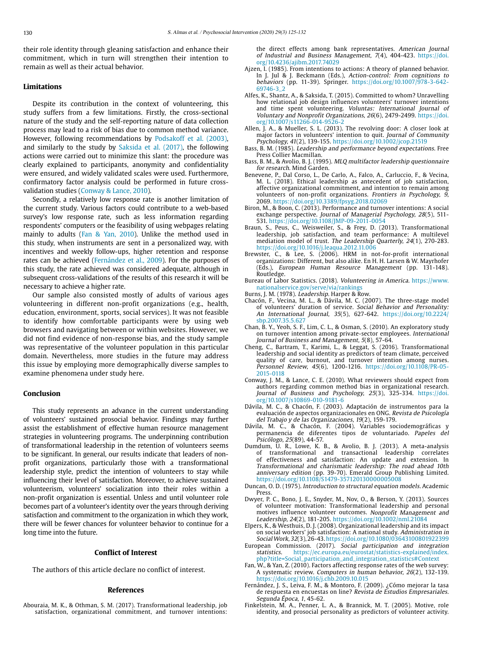their role identity through gleaning satisfaction and enhance their commitment, which in turn will strengthen their intention to remain as well as their actual behavior.

## **Limitations**

Despite its contribution in the context of volunteering, this study suffers from a few limitations. Firstly, the cross-sectional nature of the study and the self-reporting nature of data collection process may lead to a risk of bias due to common method variance. However, following recommendations by Podsakoff et al. (2003), and similarly to the study by Saksida et al. (2017), the following actions were carried out to minimize this slant: the procedure was clearly explained to participants, anonymity and confidentiality were ensured, and widely validated scales were used. Furthermore, confirmatory factor analysis could be performed in future crossvalidation studies (Conway & Lance, 2010).

Secondly, a relatively low response rate is another limitation of the current study. Various factors could contribute to a web-based survey's low response rate, such as less information regarding respondents' computers or the feasibility of using webpages relating mainly to adults (Fan & Yan, 2010). Unlike the method used in this study, when instruments are sent in a personalized way, with incentives and weekly follow-ups, higher retention and response rates can be achieved (Fernández et al., 2009). For the purposes of this study, the rate achieved was considered adequate, although in subsequent cross-validations of the results of this research it will be necessary to achieve a higher rate.

Our sample also consisted mostly of adults of various ages volunteering in different non-profit organizations (e.g., health, education, environment, sports, social services). It was not feasible to identify how comfortable participants were by using web browsers and navigating between or within websites. However, we did not find evidence of non-response bias, and the study sample was representative of the volunteer population in this particular domain. Nevertheless, more studies in the future may address this issue by employing more demographically diverse samples to examine phenomena under study here.

## **Conclusion**

This study represents an advance in the current understanding of volunteers' sustained prosocial behavior. Findings may further assist the establishment of effective human resource management strategies in volunteering programs. The underpinning contribution of transformational leadership in the retention of volunteers seems to be significant. In general, our results indicate that leaders of nonprofit organizations, particularly those with a transformational leadership style, predict the intention of volunteers to stay while influencing their level of satisfaction. Moreover, to achieve sustained volunteerism, volunteers' socialization into their roles within a non-profit organization is essential. Unless and until volunteer role becomes part of a volunteer's identity over the years through deriving satisfaction and commitment to the organization in which they work, there will be fewer chances for volunteer behavior to continue for a long time into the future.

#### **Conflict of Interest**

The authors of this article declare no conflict of interest.

#### **References**

Abouraia, M. K., & Othman, S. M. (2017). Transformational leadership, job satisfaction, organizational commitment, and turnover intentions: the direct effects among bank representatives. American Journal of Industrial and Business Management, 7(4), 404-423. [https://doi.](https://doi.org/10.4236/ajibm.2017.74029) [org/10.4236/ajibm.2017.74029](https://doi.org/10.4236/ajibm.2017.74029)

- Ajzen, I. (1985). From intentions to actions: A theory of planned behavior. In J. Jul & J. Beckmann (Eds.), Action-control: From cognitions to behaviors (pp. 11-39). Springer. [https://doi.org/10.1007/978-3-642-](https://doi.org/10.1007/978-3-642-69746-3_2) [69746-3\\_2](https://doi.org/10.1007/978-3-642-69746-3_2)
- Alfes, K., Shantz, A., & Saksida, T. (2015). Committed to whom? Unravelling how relational job design influences volunteers' turnover intentions and time spent volunteering. Voluntas: International Journal of Voluntary and Nonprofit Organizations, 26(6), 2479-2499. [https://doi.](https://doi.org/10.1007/s11266-014-9526-2) [org/10.1007/s11266-014-9526-2](https://doi.org/10.1007/s11266-014-9526-2)
- Allen, J. A., & Mueller, S. L. (2013). The revolving door: A closer look at major factors in volunteers' intention to quit. Journal of Community Psychology, 41(2), 139-155. <https://doi.org/10.1002/jcop.21519>
- Bass, B. M. (1985). Leadership and performance beyond expectations. Free Press Collier Macmillan.
- Bass, B. M., & Avolio, B. J. (1995). MLQ multifactor leadership questionnaire for research. Mind Garden.
- Benevene, P., Dal Corso, L., De Carlo, A., Falco, A., Carluccio, F., & Vecina, M. L. (2018). Ethical leadership as antecedent of job satisfaction, affective organizational commitment, and intention to remain among volunteers of non-profit organizations. Frontiers in Psychology, 9, 2069. <https://doi.org/10.3389/fpsyg.2018.02069>
- Biron, M., & Boon, C. (2013). Performance and turnover intentions: A social exchange perspective. Journal of Managerial Psychology, 28(5), 511- 531. <https://doi.org/10.1108/JMP-09-2011-0054>
- Braun, S., Peus, C., Weisweiler, S., & Frey, D. (2013). Transformational leadership, job satisfaction, and team performance: A multilevel mediation model of trust. The Leadership Quarterly, 24(1), 270-283. <https://doi.org/10.1016/j.leaqua.2012.11.006>
- Brewster, C., & Lee, S. (2006). HRM in not-for-profit international organizations: Different, but also alike. En H. H. Larsen & W. Mayrhofer (Eds.), European Human Resource Management (pp. 131-148). Routledge.
- Bureau of Labor Statistics. (2018). Volunteering in America. [https://www.](https://www.nationalservice.gov/serve/via/rankings) [nationalservice.gov/serve/via/rankings](https://www.nationalservice.gov/serve/via/rankings)
- Burns, J. M. (1978). Leadership. Harper & Row.
- Chacón, F., Vecina, M. L., & Dávila, M. C. (2007). The three-stage model of volunteers' duration of service. Social Behavior and Personality: An International Journal, 35(5), 627-642. [https://doi.org/10.2224/](https://doi.org/10.2224/sbp.2007.35.5.627) [sbp.2007.35.5.627](https://doi.org/10.2224/sbp.2007.35.5.627)
- Chan, B. Y., Yeoh, S. F., Lim, C. L., & Osman, S. (2010). An exploratory study on turnover intention among private-sector employees. International Journal of Business and Management, 5(8), 57-64.
- Cheng, C., Bartram, T., Karimi, L., & Leggat, S. (2016). Transformational leadership and social identity as predictors of team climate, perceived quality of care, burnout, and turnover intention among nurses. Personnel Review, 45(6), 1200-1216. [https://doi.org/10.1108/PR-05-](https://doi.org/10.1108/PR-05-2015-0118) [2015-0118](https://doi.org/10.1108/PR-05-2015-0118)
- Conway, J. M., & Lance, C. E. (2010). What reviewers should expect from authors regarding common method bias in organizational research. Journal of Business and Psychology, 25(3), 325-334. [https://doi.](https://doi.org/10.1007/s10869-010-9181-6) [org/10.1007/s10869-010-9181-6](https://doi.org/10.1007/s10869-010-9181-6)
- Dávila, M. C., & Chacón, F. (2003). Adaptación de instrumentos para la evaluación de aspectos organizacionales en ONG. Revista de Psicología del Trabajo y de las Organizaciones, 19(2), 159-179.
- Dávila, M. C., & Chacón, F. (2004). Variables sociodemográficas y permanencia de diferentes tipos de voluntariado. Papeles del Psicólogo, 25(89), 44-57.
- Dumdum, U. R., Lowe, K. B., & Avolio, B. J. (2013). A meta-analysis of transformational and transactional leadership correlates of effectiveness and satisfaction: An update and extension. In Transformational and charismatic leadership: The road ahead 10th anniversary edition (pp. 39-70). Emerald Group Publishing Limited. <https://doi.org/10.1108/S1479-357120130000005008>
- Duncan, O. D. (1975). Introduction to structural equation models. Academic Press.
- Dwyer, P. C., Bono, J. E., Snyder, M., Nov, O., & Berson, Y. (2013). Sources of volunteer motivation: Transformational leadership and personal motives influence volunteer outcomes. Nonprofit Management and Leadership, 24(2), 181-205. [https://doi.org/10.1002/nml.21084](http://doi.org/10.1002/nml.21084)
- Elpers, K., & Westhuis, D. J. (2008). Organizational leadership and its impact on social workers' job satisfaction: A national study. Administration in Social Work, 32(3), 26-43.<https://doi.org/10.1080/03643100801922399>
- European Commission. (2017). Social participation and integration statistics. https://ec.europa.eu/eurostat/statistics-explained/index. [https://ec.europa.eu/eurostat/statistics-explained/index.](https://ec.europa.eu/eurostat/statistics-explained/index.php?title=Social_participation_and_integration_statistics#Context) [php?title=Social\\_participation\\_and\\_integration\\_statistics#Context](https://ec.europa.eu/eurostat/statistics-explained/index.php?title=Social_participation_and_integration_statistics#Context)
- Fan, W., & Yan, Z. (2010). Factors affecting response rates of the web survey: A systematic review. Computers in human behavior, 26(2), 132-139. <https://doi.org/10.1016/j.chb.2009.10.015>
- Fernández, J. S., Leiva, F. M., & Montoro, F. (2009). ¿Cómo mejorar la tasa de respuesta en encuestas on line? Revista de Estudios Empresariales. Segunda Época, 1, 45-62.
- Finkelstein, M. A., Penner, L. A., & Brannick, M. T. (2005). Motive, role identity, and prosocial personality as predictors of volunteer activity.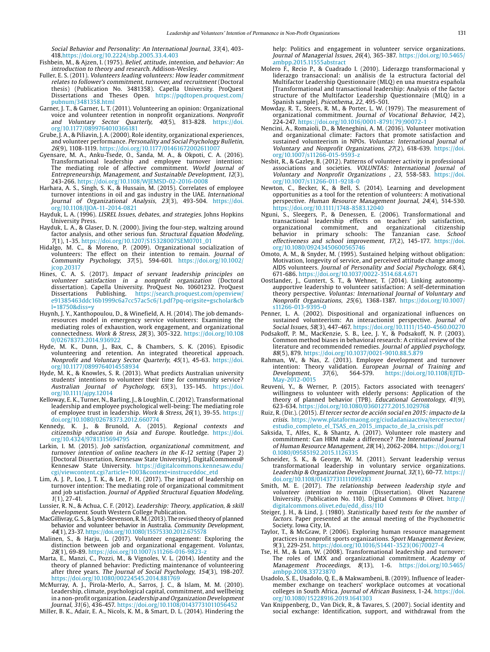Social Behavior and Personality: An International Journal, 33(4), 403- 418.<https://doi.org/10.2224/sbp.2005.33.4.403>

- Fishbein, M., & Ajzen, I. (1975). Belief, attitude, intention, and behavior: An introduction to theory and research. Addison-Wesley.
- Fuller, E. S. (2011). Volunteers leading volunteers: How leader commitment relates to follower's commitment, turnover, and recruitment (Doctoral thesis) (Publication No. 3481358). Capella University. ProQuest Dissertations and Theses Open. [https://pqdtopen.proquest.com/](https://pqdtopen.proquest.com/pubnum/3481358.html) [pubnum/3481358.html](https://pqdtopen.proquest.com/pubnum/3481358.html)
- Garner, J. T., & Garner, L. T. (2011). Volunteering an opinion: Organizational voice and volunteer retention in nonprofit organizations. Nonprofit and Voluntary Sector Quarterly, 40(5), 813-828. [https://doi.](https://doi.org/10.1177/0899764010366181) and Voluntary Sector Quarterly,<br>org/10.1177/0899764010366181
- Grube, J. A., & Piliavin, J. A. (2000). Role identity, organizational experiences, and volunteer performance. Personality and Social Psychology Bulletin, 26(9), 1108-1119. <https://doi.org/10.1177/01461672002611007>
- Gyensare, M. A., Anku-Tsede, O., Sanda, M. A., & Okpoti, C. A. (2016). Transformational leadership and employee turnover intention: The mediating role of affective commitment. World Journal of Entrepreneurship, Management, and Sustainable Development, 12(3), 243-266.<https://doi.org/10.1108/WJEMSD-02-2016-0008>
- Harhara, A. S., Singh, S. K., & Hussain, M. (2015). Correlates of employee turnover intentions in oil and gas industry in the UAE. International Journal of Organizational Analysis, 23(3), 493-504. [https://doi.](https://doi.org/10.1108/IJOA-11-2014-0821) [org/10.1108/IJOA-11-2014-0821](https://doi.org/10.1108/IJOA-11-2014-0821)
- Hayduk, L. A. (1996). LISREL Issues, debates, and strategies. Johns Hopkins University Press.
- Hayduk, L. A., & Glaser, D. N. (2000). Jiving the four-step, waltzing around factor analysis, and other serious fun. Structural Equation Modeling, 7(1), 1-35. [https://doi.org/10.1207/S15328007SEM0701\\_01](https://doi.org/10.1207/S15328007SEM0701_01)
- Hidalgo, M. C., & Moreno, P. (2009). Organizational socialization of volunteers: The effect on their intention to remain. Journal of Community Psychology, 37(5), 594-601. [https://doi.org/10.1002/](http://doi.org/10.1002/jcop.20317) [jcop.20317](http://doi.org/10.1002/jcop.20317)
- Hines, C. A. S. (2017). Impact of servant leadership principles on volunteer satisfaction in a nonprofit organization (Doctoral dissertation). Capella University. ProQuest No. 10601232. ProQuest Dissertations Publishing. [https://search.proquest.com/openview/](https://search.proquest.com/openview/e91385463ddc16b1999c6a7cc57ac5c6/1.pdf?pq-origsite=gscholar&cbl=18750&diss=y) [e91385463ddc16b1999c6a7cc57ac5c6/1.pdf?pq-origsite=gscholar&cb](https://search.proquest.com/openview/e91385463ddc16b1999c6a7cc57ac5c6/1.pdf?pq-origsite=gscholar&cbl=18750&diss=y) [l=18750&diss=y](https://search.proquest.com/openview/e91385463ddc16b1999c6a7cc57ac5c6/1.pdf?pq-origsite=gscholar&cbl=18750&diss=y)
- Huynh, J. Y., Xanthopoulou, D., & Winefield, A. H. (2014). The job demandsresources model in emergency service volunteers: Examining the mediating roles of exhaustion, work engagement, and organizational connectedness. Work & Stress, 28(3), 305-322. [https://doi.org/10.108](https://doi.org/10.1080/02678373.2014.936922) [0/02678373.2014.936922](https://doi.org/10.1080/02678373.2014.936922)
- Hyde, M. K., Dunn, J., Bax, C., & Chambers, S. K. (2016). Episodic volunteering and retention. An integrated theoretical approach. Nonprofit and Voluntary Sector Quarterly, 45(1), 45-63. [https://doi.](https://doi.org/10.1177/0899764014558934) [org/10.1177/0899764014558934](https://doi.org/10.1177/0899764014558934)
- Hyde, M. K., & Knowles, S. R. (2013). What predicts Australian university students' intentions to volunteer their time for community service? Australian Journal of Psychology, 65(3), 135-145. [https://doi.](https://doi.org/10.1111/ajpy.12014) [org/10.1111/ajpy.12014](https://doi.org/10.1111/ajpy.12014)
- Kelloway, E. K., Turner, N., Barling, J., & Loughlin, C. (2012). Transformational leadership and employee psychological well-being: The mediating role of employee trust in leadership. Work & Stress, 26(1), 39-55. [https://](https://doi.org/10.1080/02678373.2012.660774) [doi.org/10.1080/02678373.2012.660774](https://doi.org/10.1080/02678373.2012.660774)
- Kennedy, K. J., & Brunold, A. (2015). Regional contexts and citizenship education in Asia and Europe. Routledge. [https://doi.](https://doi.org/10.4324/9781315694795) [org/10.4324/9781315694795](https://doi.org/10.4324/9781315694795)
- Larkin, I. M. (2015). Job satisfaction, organizational commitment, and turnover intention of online teachers in the K-12 setting (Paper 2) [Doctoral Dissertation, Kennesaw State University]. DigitalCommons@ Kennesaw State University. https://digitalcommons.kennesaw.edu/ cgi/viewcontent.cgi?article=1003&context=instruceddoc\_etd
- Lim, A. J. P., Loo, J. T. K., & Lee, P. H. (2017). The impact of leadership on turnover intention: The mediating role of organizational commitment and job satisfaction. Journal of Applied Structural Equation Modeling, 1(1), 27-41.
- Lussier, R. N., & Achua, C. F. (2012). Leadership: Theory, application, & skill development. South Western College Publication.
- MacGillivray, G. S., & Lynd-Stevenson, R. M. (2013). The revised theory of planned behavior and volunteer behavior in Australia. Community Development, 44(1), 23-37. <https://doi.org/10.1080/15575330.2012.675578>
- Malinen, S., & Harju, L. (2017). Volunteer engagement: Exploring the distinction between job and organizational engagement. Voluntas, 28(1), 69-89. https://doi.org/10.1007/s11266-016-9823-z
- Marta, E., Manzi, C., Pozzi, M., & Vignoles, V. L. (2014). Identity and the theory of planned behavior: Predicting maintenance of volunteering after three years. The Journal of Social Psychology, 154(3), 198-207. https://doi.org/10.1080/00224545.2014.881769
- McMurray, A. J., Pirola-Merlo, A., Sarros, J. C., & Islam, M. M. (2010). Leadership, climate, psychological capital, commitment, and wellbeing in a non-profit organization. Leadership and Organization Development Journal, 31(6), 436-457. [https://doi.org/10.1108/01437731011056452](https://doi.org/10.1108/01437731211253000)

Miller, B. K., Adair, E. A., Nicols, K. M., & Smart, D. L. (2014). Hindering the

help: Politics and engagement in volunteer service organizations. Journal of Managerial Issues, 26(4), 365-387. [https://doi.org/10.5465/](https://doi.org/10.5465/ambpp.2015.11555abstract) [ambpp.2015.11555abstract](https://doi.org/10.5465/ambpp.2015.11555abstract)

- Molero F., Recio P., & Cuadrado I. (2010). Liderazgo transformacional y liderazgo transaccional: un análisis de la estructura factorial del Multifactor Leadership Questionnaire (MLQ) en una muestra española [Transformational and transactional leadership: Analysis of the factor structure of the Multifactor Leadership Questionnaire (MLQ) in a Spanish sample]. Psicothema, 22, 495-501.
- Mowday, R. T., Steers, R. M., & Porter, L. W. (1979). The measurement of organizational commitment. Journal of Vocational Behavior, 14(2), 224-247. [https://doi.org/10.1016/0001-8791\(79\)90072-1](https://doi.org/10.1016/0001-8791(79)90072-1)
- Nencini, A., Romaioli, D., & Meneghini, A. M. (2016). Volunteer motivation and organizational climate: Factors that promote satisfaction and sustained volunteerism in NPOs. Voluntas: International Journal of Voluntary and Nonprofit Organizations, 27(2), 618-639. [https://doi.](https://doi.org/10.1007/s11266-015-9593-z) [org/10.1007/s11266-015-9593-z](https://doi.org/10.1007/s11266-015-9593-z)
- Nesbit, R., & Gazley, B. (2012). Patterns of volunteer activity in professional associations and societies. VOLUNTAS: International Journal of Voluntary and Nonprofit Organizations , 23, 558-583. [https://doi.](https://doi.org/10.1007/s11266-011-9218-0) [org/10.1007/s11266-011-9218-0](https://doi.org/10.1007/s11266-011-9218-0)
- Newton, C., Becker, K., & Bell, S. (2014). Learning and development opportunities as a tool for the retention of volunteers: A motivational perspective. Human Resource Management Journal, 24(4), 514-530. <https://doi.org/10.1111/1748-8583.12040>
- Nguni, S., Sleegers, P., & Denessen, E. (2006). Transformational and transactional leadership effects on teachers' job satisfaction, organizational commitment, and organizational citizenship behavior in primary schools: The Tanzanian case. School effectiveness and school improvement, 17(2), 145-177. [https://doi.](https://doi.org/10.1080/09243450600565746) [org/10.1080/09243450600565746](https://doi.org/10.1080/09243450600565746)
- Omoto, A. M., & Snyder, M. (1995). Sustained helping without obligation: Motivation, longevity of service, and perceived attitude change among AIDS volunteers. Journal of Personality and Social Psychology, 68(4), 671-686.<https://doi.org/10.1037/0022-3514.68.4.671>
- Oostlander, J., Guntert, S. T., & Wehner, T. (2014). Linking autonomyaupportive leadership to volunteer satisfaction: A self-determination theory perspective. Voluntas: International Journal of Voluntary and Nonprofit Organizations, 25(6), 1368-1387. [https://doi.org/10.1007/](https://doi.org/10.1007/s11266-013-9395-0) [s11266-013-9395-0](https://doi.org/10.1007/s11266-013-9395-0)
- Penner, L. A. (2002). Dispositional and organizational influences on sustained volunteerism: An interactionist perspective. Journal of Social Issues, 58(3), 447-467.<https://doi.org/10.1111/1540-4560.00270>
- Podsakoff, P. M., MacKenzie, S. B., Lee, J. Y., & Podsakoff, N. P. (2003). Common method biases in behavioral research: A critical review of the literature and recommended remedies. Journal of applied psychology, 88(5), 879.<https://doi.org/10.1037/0021-9010.88.5.879>
- Rahman, W., & Nas, Z. (2013). Employee development and turnover intention: Theory validation. European Journal of Training and Development, 37(6), 564-579. https://doi.org/10.1108/EJTD $https://doi.org/10.1108/E}$ [May-2012-0015](https://doi.org/10.1108/EJTD-May-2012-0015)
- Reuveni, Y., & Werner, P. (2015). Factors associated with teenagers' willingness to volunteer with elderly persons: Application of the theory of planned behavior (TPB). Educational Gerontology, 41(9), 623-634. https://doi.org/10.1080/03601277.2015.1029768
- Ruiz, R. (Dir.). (2015). El tercer sector de acción social en 2015: impacto de la crisis. [https://www.plataformaong.org/ciudadaniaactiva/tercersector/](https://www.plataformaong.org/ciudadaniaactiva/tercersector/estudio_completo_el_TSAS_en_2015_impacto_de_la_crisis.pdf) [estudio\\_completo\\_el\\_TSAS\\_en\\_2015\\_impacto\\_de\\_la\\_crisis.pdf](https://www.plataformaong.org/ciudadaniaactiva/tercersector/estudio_completo_el_TSAS_en_2015_impacto_de_la_crisis.pdf)
- Saksida, T., Alfes, K., & Shantz, A. (2017). Volunteer role mastery and commitment: Can HRM make a difference? The International Journal of Human Resource Management, 28(14), 2062-2084. [https://doi.org/1](https://doi.org/10.1080/09585192.2015.1126335) [0.1080/09585192.2015.1126335](https://doi.org/10.1080/09585192.2015.1126335)
- Schneider, S. K., & George, W. M. (2011). Servant leadership versus transformational leadership in voluntary service organizations. Leadership & Organization Development Journal, 32(1), 60-77. [https://](https://doi.org/10.1108/01437731111099283) [doi.org/10.1108/01437731111099283](https://doi.org/10.1108/01437731111099283)
- Smith, M. E. (2017). The relationship between leadership style and volunteer intention to remain (Dissertation). Olivet Nazarene University. (Publication No. 110). Digital Commons @ Olivet. [http://](http://digitalcommons.olivet.edu/edd_diss/110) [digitalcommons.olivet.edu/edd\\_diss/110](http://digitalcommons.olivet.edu/edd_diss/110)
- Steiger, J. H., & Lind, J. (1980). Statistically based tests for the number of factors. Paper presented at the annual meeting of the Psychometric Society. Iowa City, IA.
- Taylor, T., & McGraw, P. (2006). Exploring human resource management practices in nonprofit sports organizations. Sport Management Review, 9(3), 229-251. [https://doi.org/10.1016/S1441-3523\(06\)70027-4](https://doi.org/10.1016/S1441-3523(06)70027-4)
- Tse, H. M., & Lam, W. (2008). Transformational leadership and turnover: The roles of LMX and organizational commitment. Academy of Management Proceedings, 8(13), 1-6. [https://doi.org/10.5465/](https://doi.org/10.5465/ambpp.2008.33723870) [ambpp.2008.33723870](https://doi.org/10.5465/ambpp.2008.33723870)
- Usadolo, S. E., Usadolo, Q. E., & Makwambeni, B. (2019). Influence of leadermember exchange on teachers' workplace outcomes at vocational colleges in South Africa. Journal of African Business, 1-24. [https://doi.](https://doi.org/10.1080/15228916.2019.1641303) [org/10.1080/15228916.2019.1641303](https://doi.org/10.1080/15228916.2019.1641303)
- Van Knippenberg, D., Van Dick, R., & Tavares, S. (2007). Social identity and social exchange: Identification, support, and withdrawal from the